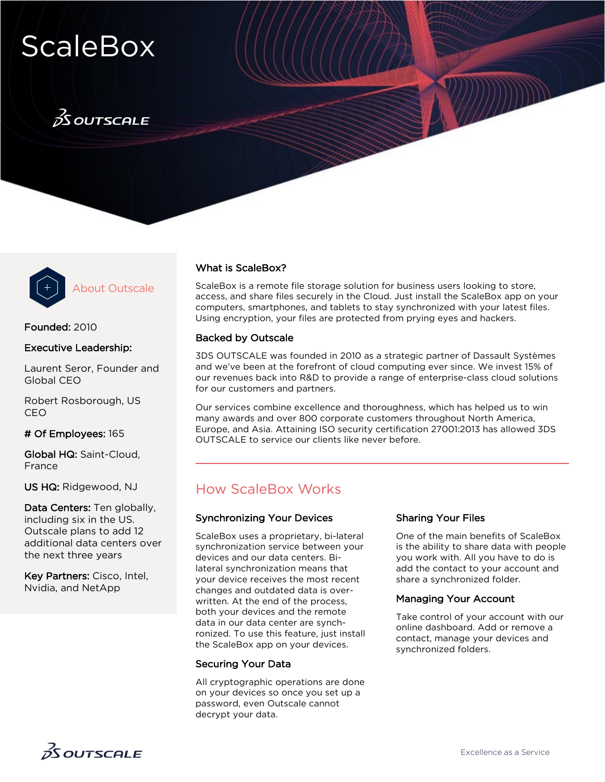# **ScaleBox**

## $\frac{3}{25}$ OUTSCALE



About Outscale

### Founded: 2010

### Executive Leadership:

Laurent Seror, Founder and Global CEO

Robert Rosborough, US CEO

### # Of Employees: 165

Global HQ: Saint-Cloud, France

US HQ: Ridgewood, NJ

Data Centers: Ten globally, including six in the US. Outscale plans to add 12 additional data centers over the next three years

Key Partners: Cisco, Intel, Nvidia, and NetApp

### What is ScaleBox?

ScaleBox is a remote file storage solution for business users looking to store, access, and share files securely in the Cloud. Just install the ScaleBox app on your computers, smartphones, and tablets to stay synchronized with your latest files. Using encryption, your files are protected from prying eyes and hackers.

### Backed by Outscale

3DS OUTSCALE was founded in 2010 as a strategic partner of Dassault Systèmes and we've been at the forefront of cloud computing ever since. We invest 15% of our revenues back into R&D to provide a range of enterprise-class cloud solutions for our customers and partners.

Our services combine excellence and thoroughness, which has helped us to win many awards and over 800 corporate customers throughout North America, Europe, and Asia. Attaining ISO security certification 27001:2013 has allowed 3DS OUTSCALE to service our clients like never before.

### How ScaleBox Works

### Synchronizing Your Devices

ScaleBox uses a proprietary, bi-lateral synchronization service between your devices and our data centers. Bilateral synchronization means that your device receives the most recent changes and outdated data is overwritten. At the end of the process, both your devices and the remote data in our data center are synchronized. To use this feature, just install the ScaleBox app on your devices.

### Securing Your Data

All cryptographic operations are done on your devices so once you set up a password, even Outscale cannot decrypt your data.

### Sharing Your Files

One of the main benefits of ScaleBox is the ability to share data with people you work with. All you have to do is add the contact to your account and share a synchronized folder.

### Managing Your Account

Take control of your account with our online dashboard. Add or remove a contact, manage your devices and synchronized folders.

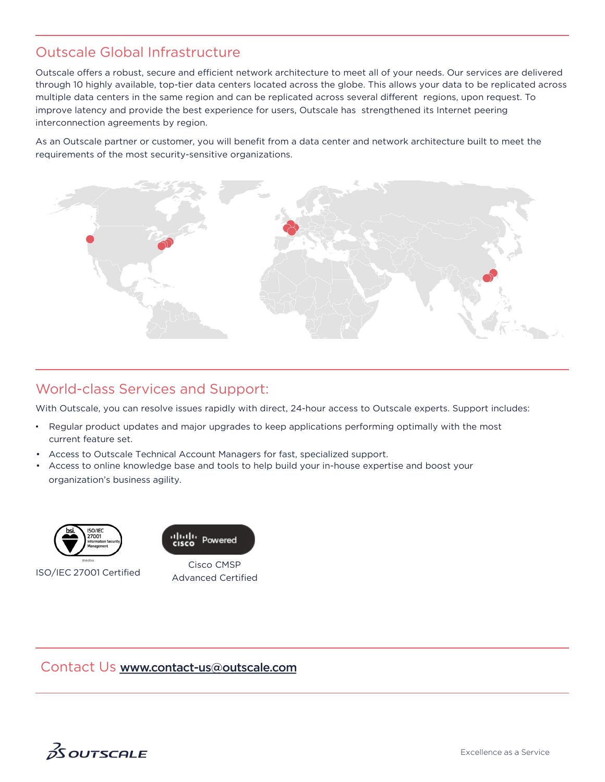### Outscale Global Infrastructure

Outscale offers a robust, secure and efficient network architecture to meet all of your needs. Our services are delivered through 10 highly available, top-tier data centers located across the globe. This allows your data to be replicated across multiple data centers in the same region and can be replicated across several different regions, upon request. To improve latency and provide the best experience for users, Outscale has strengthened its Internet peering interconnection agreements by region.

As an Outscale partner or customer, you will benefit from a data center and network architecture built to meet the requirements of the most security-sensitive organizations.



### World-class Services and Support:

With Outscale, you can resolve issues rapidly with direct, 24-hour access to Outscale experts. Support includes:

- Regular product updates and major upgrades to keep applications performing optimally with the most current feature set.
- Access to Outscale Technical Account Managers for fast, specialized support.
- Access to online knowledge base and tools to help build your in-house expertise and boost your organization's business agility.





Cisco CMSP ISO/IEC 27001 Certified<br>Advanced Certified

### Contact Us [www.](http://www.outscale.com/)[contact-us@](https://www.linkedin.com/showcase/10560803/)[o](http://www.outscale.com/)[utscale.com](https://plus.google.com/%2BOutscaleUs)